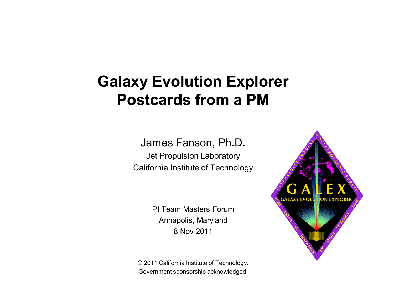# **Galaxy Evolution Explorer Postcards from a PM**

James Fanson, Ph.D. Jet Propulsion Laboratory California Institute of Technology

> PI Team Masters Forum Annapolis, Maryland 8 Nov 2011

© 2011 California Institute of Technology. Government sponsorship acknowledged.

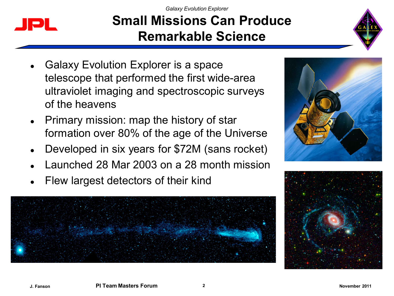

## **Small Missions Can Produce Remarkable Science**

- Galaxy Evolution Explorer is a space telescope that performed the first wide-area ultraviolet imaging and spectroscopic surveys of the heavens
- Primary mission: map the history of star formation over 80% of the age of the Universe
- Developed in six years for \$72M (sans rocket)
- Launched 28 Mar 2003 on a 28 month mission
- Flew largest detectors of their kind









JPL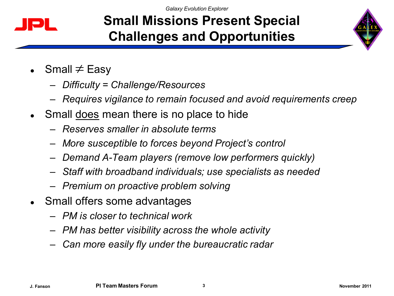*Galaxy Evolution Explorer*



## **Small Missions Present Special Challenges and Opportunities**



- Small  $\neq$  Easy
	- *Difficulty = Challenge/Resources*
	- *Requires vigilance to remain focused and avoid requirements creep*
- Small does mean there is no place to hide
	- *Reserves smaller in absolute terms*
	- *More susceptible to forces beyond Project's control*
	- *Demand A-Team players (remove low performers quickly)*
	- *Staff with broadband individuals; use specialists as needed*
	- *Premium on proactive problem solving*
- Small offers some advantages
	- *PM is closer to technical work*
	- *PM has better visibility across the whole activity*
	- *Can more easily fly under the bureaucratic radar*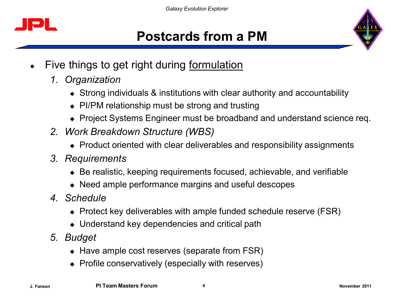**Postcards from a PM**



- Five things to get right during formulation
	- *1. Organization*
		- Strong individuals & institutions with clear authority and accountability
		- PI/PM relationship must be strong and trusting
		- Project Systems Engineer must be broadband and understand science req.
	- *2. Work Breakdown Structure (WBS)*
		- Product oriented with clear deliverables and responsibility assignments
	- *3. Requirements*
		- ◆ Be realistic, keeping requirements focused, achievable, and verifiable
		- Need ample performance margins and useful descopes
	- *4. Schedule*
		- Protect key deliverables with ample funded schedule reserve (FSR)
		- ◆ Understand key dependencies and critical path
	- *5. Budget*
		- $\leftrightarrow$  Have ample cost reserves (separate from FSR)
		- Profile conservatively (especially with reserves)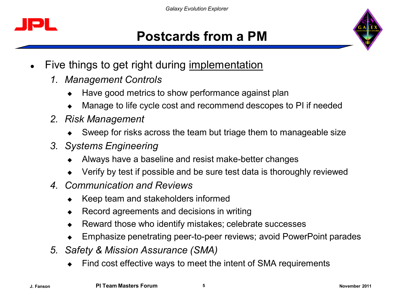

#### **Postcards from a PM**



- Five things to get right during implementation
	- *1. Management Controls*
		- Have good metrics to show performance against plan
		- Manage to life cycle cost and recommend descopes to PI if needed
	- *2. Risk Management*
		- Sweep for risks across the team but triage them to manageable size
	- *3. Systems Engineering*
		- Always have a baseline and resist make-better changes
		- Verify by test if possible and be sure test data is thoroughly reviewed
	- *4. Communication and Reviews*
		- Keep team and stakeholders informed
		- Record agreements and decisions in writing
		- Reward those who identify mistakes; celebrate successes
		- Emphasize penetrating peer-to-peer reviews; avoid PowerPoint parades
	- *5. Safety & Mission Assurance (SMA)*
		- Find cost effective ways to meet the intent of SMA requirements